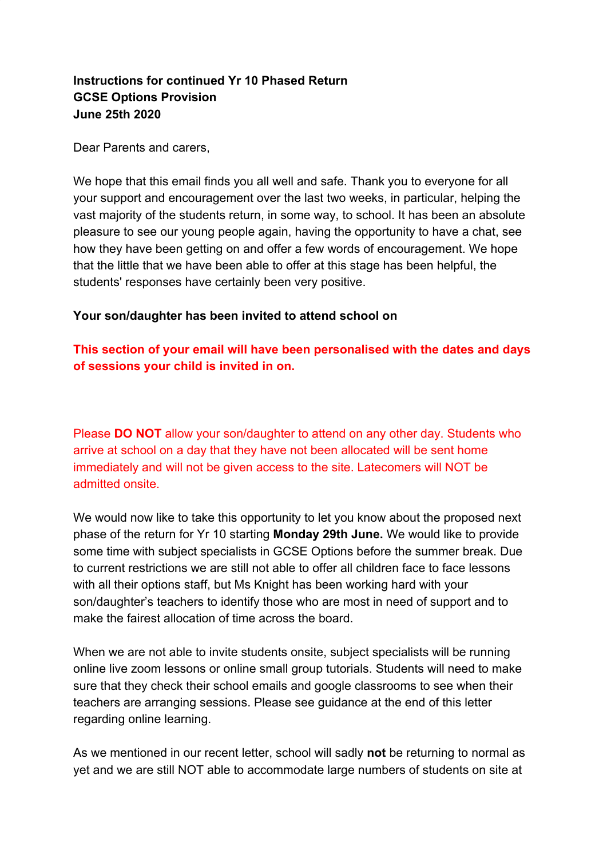# **Instructions for continued Yr 10 Phased Return GCSE Options Provision June 25th 2020**

Dear Parents and carers,

We hope that this email finds you all well and safe. Thank you to everyone for all your support and encouragement over the last two weeks, in particular, helping the vast majority of the students return, in some way, to school. It has been an absolute pleasure to see our young people again, having the opportunity to have a chat, see how they have been getting on and offer a few words of encouragement. We hope that the little that we have been able to offer at this stage has been helpful, the students' responses have certainly been very positive.

#### **Your son/daughter has been invited to attend school on**

# **This section of your email will have been personalised with the dates and days of sessions your child is invited in on.**

Please **DO NOT** allow your son/daughter to attend on any other day. Students who arrive at school on a day that they have not been allocated will be sent home immediately and will not be given access to the site. Latecomers will NOT be admitted onsite.

We would now like to take this opportunity to let you know about the proposed next phase of the return for Yr 10 starting **Monday 29th June.** We would like to provide some time with subject specialists in GCSE Options before the summer break. Due to current restrictions we are still not able to offer all children face to face lessons with all their options staff, but Ms Knight has been working hard with your son/daughter's teachers to identify those who are most in need of support and to make the fairest allocation of time across the board.

When we are not able to invite students onsite, subject specialists will be running online live zoom lessons or online small group tutorials. Students will need to make sure that they check their school emails and google classrooms to see when their teachers are arranging sessions. Please see guidance at the end of this letter regarding online learning.

As we mentioned in our recent letter, school will sadly **not** be returning to normal as yet and we are still NOT able to accommodate large numbers of students on site at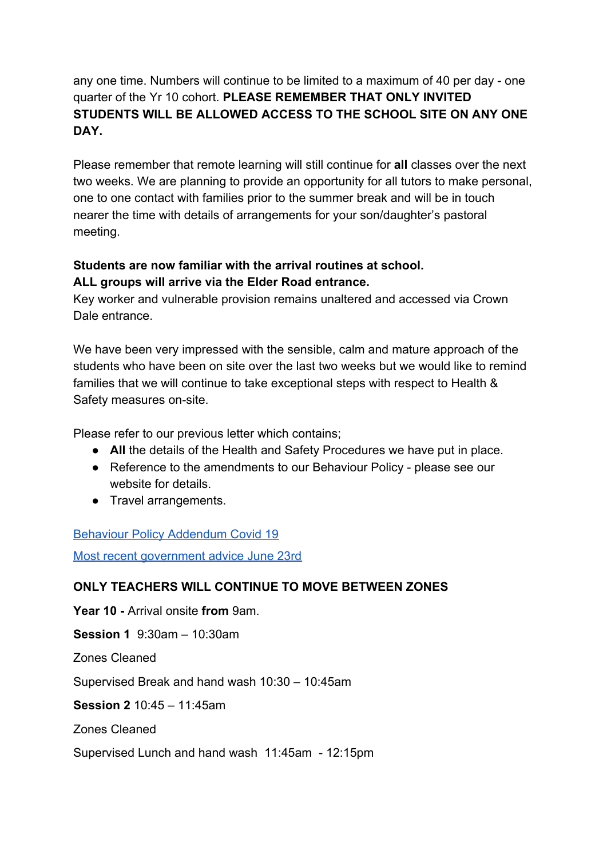# any one time. Numbers will continue to be limited to a maximum of 40 per day - one quarter of the Yr 10 cohort. **PLEASE REMEMBER THAT ONLY INVITED STUDENTS WILL BE ALLOWED ACCESS TO THE SCHOOL SITE ON ANY ONE DAY.**

Please remember that remote learning will still continue for **all** classes over the next two weeks. We are planning to provide an opportunity for all tutors to make personal, one to one contact with families prior to the summer break and will be in touch nearer the time with details of arrangements for your son/daughter's pastoral meeting.

# **Students are now familiar with the arrival routines at school. ALL groups will arrive via the Elder Road entrance.**

Key worker and vulnerable provision remains unaltered and accessed via Crown Dale entrance.

We have been very impressed with the sensible, calm and mature approach of the students who have been on site over the last two weeks but we would like to remind families that we will continue to take exceptional steps with respect to Health & Safety measures on-site.

Please refer to our previous letter which contains;

- **All** the details of the Health and Safety Procedures we have put in place.
- Reference to the amendments to our Behaviour Policy please see our website for details.
- Travel arrangements.

### **[Behaviour Policy Addendum Covid 19](https://www.thenorwoodschool.org/page/?title=Policies+%26amp%3B+Documents&pid=23&action=saved)**

[Most recent government advice June 23rd](https://www.gov.uk/government/publications/preparing-for-the-wider-opening-of-schools-from-1-june/planning-guide-for-secondary-schools)

# **ONLY TEACHERS WILL CONTINUE TO MOVE BETWEEN ZONES**

**Year 10 -** Arrival onsite **from** 9am.

**Session 1** 9:30am – 10:30am

Zones Cleaned

Supervised Break and hand wash 10:30 – 10:45am

**Session 2** 10:45 – 11:45am

Zones Cleaned

Supervised Lunch and hand wash 11:45am - 12:15pm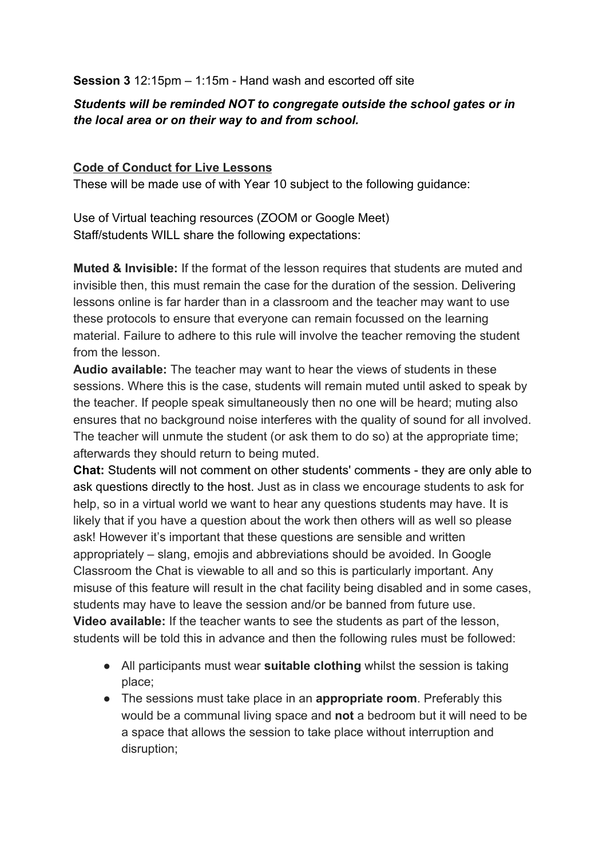**Session 3** 12:15pm – 1:15m - Hand wash and escorted off site

### *Students will be reminded NOT to congregate outside the school gates or in the local area or on their way to and from school.*

### **Code of Conduct for Live Lessons**

These will be made use of with Year 10 subject to the following guidance:

Use of Virtual teaching resources (ZOOM or Google Meet) Staff/students WILL share the following expectations:

**Muted & Invisible:** If the format of the lesson requires that students are muted and invisible then, this must remain the case for the duration of the session. Delivering lessons online is far harder than in a classroom and the teacher may want to use these protocols to ensure that everyone can remain focussed on the learning material. Failure to adhere to this rule will involve the teacher removing the student from the lesson.

**Audio available:** The teacher may want to hear the views of students in these sessions. Where this is the case, students will remain muted until asked to speak by the teacher. If people speak simultaneously then no one will be heard; muting also ensures that no background noise interferes with the quality of sound for all involved. The teacher will unmute the student (or ask them to do so) at the appropriate time; afterwards they should return to being muted.

**Chat:** Students will not comment on other students' comments - they are only able to ask questions directly to the host. Just as in class we encourage students to ask for help, so in a virtual world we want to hear any questions students may have. It is likely that if you have a question about the work then others will as well so please ask! However it's important that these questions are sensible and written appropriately – slang, emojis and abbreviations should be avoided. In Google Classroom the Chat is viewable to all and so this is particularly important. Any misuse of this feature will result in the chat facility being disabled and in some cases, students may have to leave the session and/or be banned from future use. **Video available:** If the teacher wants to see the students as part of the lesson, students will be told this in advance and then the following rules must be followed:

- All participants must wear **suitable clothing** whilst the session is taking place;
- The sessions must take place in an **appropriate room**. Preferably this would be a communal living space and **not** a bedroom but it will need to be a space that allows the session to take place without interruption and disruption;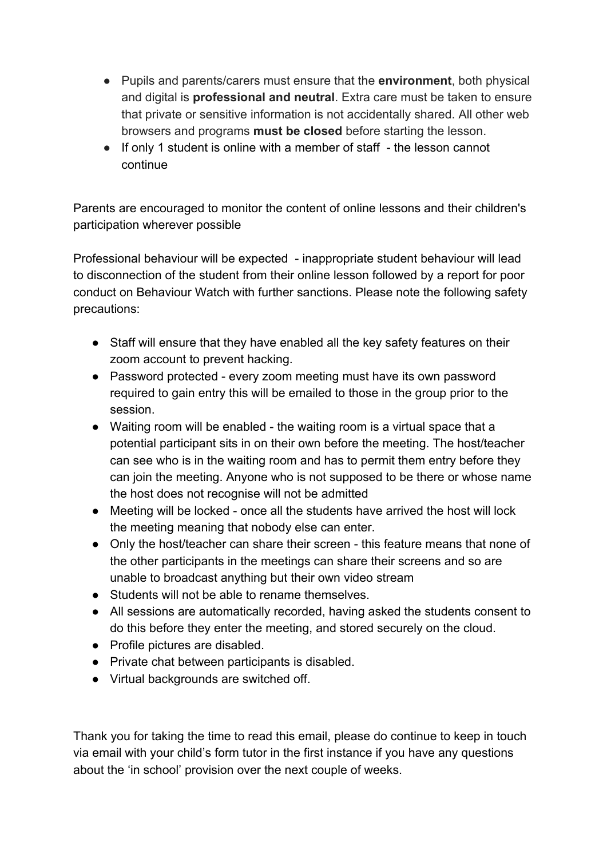- Pupils and parents/carers must ensure that the **environment**, both physical and digital is **professional and neutral**. Extra care must be taken to ensure that private or sensitive information is not accidentally shared. All other web browsers and programs **must be closed** before starting the lesson.
- If only 1 student is online with a member of staff the lesson cannot continue

Parents are encouraged to monitor the content of online lessons and their children's participation wherever possible

Professional behaviour will be expected - inappropriate student behaviour will lead to disconnection of the student from their online lesson followed by a report for poor conduct on Behaviour Watch with further sanctions. Please note the following safety precautions:

- Staff will ensure that they have enabled all the key safety features on their zoom account to prevent hacking.
- Password protected every zoom meeting must have its own password required to gain entry this will be emailed to those in the group prior to the session.
- Waiting room will be enabled the waiting room is a virtual space that a potential participant sits in on their own before the meeting. The host/teacher can see who is in the waiting room and has to permit them entry before they can join the meeting. Anyone who is not supposed to be there or whose name the host does not recognise will not be admitted
- Meeting will be locked once all the students have arrived the host will lock the meeting meaning that nobody else can enter.
- Only the host/teacher can share their screen this feature means that none of the other participants in the meetings can share their screens and so are unable to broadcast anything but their own video stream
- Students will not be able to rename themselves.
- All sessions are automatically recorded, having asked the students consent to do this before they enter the meeting, and stored securely on the cloud.
- Profile pictures are disabled.
- Private chat between participants is disabled.
- Virtual backgrounds are switched off.

Thank you for taking the time to read this email, please do continue to keep in touch via email with your child's form tutor in the first instance if you have any questions about the 'in school' provision over the next couple of weeks.